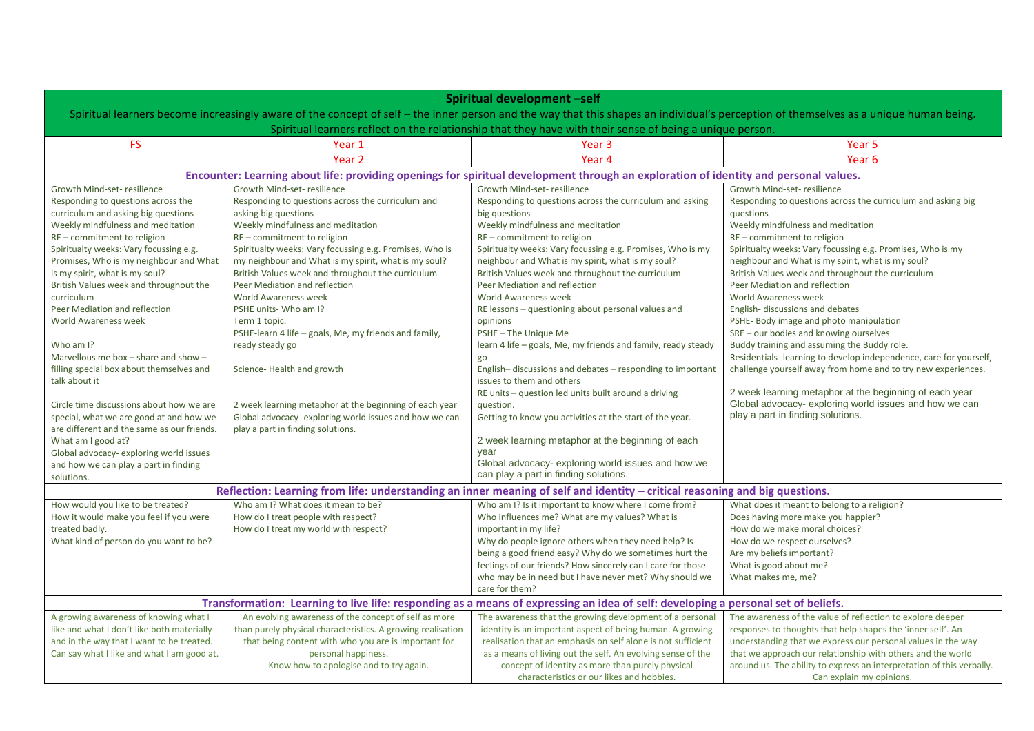| Spiritual development -self                                                                                                                                                           |                                                                                             |                                                                                                                                      |                                                                                                                  |
|---------------------------------------------------------------------------------------------------------------------------------------------------------------------------------------|---------------------------------------------------------------------------------------------|--------------------------------------------------------------------------------------------------------------------------------------|------------------------------------------------------------------------------------------------------------------|
| Spiritual learners become increasingly aware of the concept of self - the inner person and the way that this shapes an individual's perception of themselves as a unique human being. |                                                                                             |                                                                                                                                      |                                                                                                                  |
|                                                                                                                                                                                       |                                                                                             | Spiritual learners reflect on the relationship that they have with their sense of being a unique person.                             |                                                                                                                  |
| <b>FS</b>                                                                                                                                                                             | Year 1                                                                                      | Year 3                                                                                                                               | Year 5                                                                                                           |
|                                                                                                                                                                                       | Year <sub>2</sub>                                                                           | Year 4                                                                                                                               | Year <sub>6</sub>                                                                                                |
|                                                                                                                                                                                       |                                                                                             | Encounter: Learning about life: providing openings for spiritual development through an exploration of identity and personal values. |                                                                                                                  |
| Growth Mind-set-resilience                                                                                                                                                            | Growth Mind-set-resilience                                                                  | Growth Mind-set-resilience                                                                                                           | Growth Mind-set-resilience                                                                                       |
| Responding to questions across the                                                                                                                                                    | Responding to questions across the curriculum and                                           | Responding to questions across the curriculum and asking                                                                             | Responding to questions across the curriculum and asking big                                                     |
| curriculum and asking big questions                                                                                                                                                   | asking big questions                                                                        | big questions                                                                                                                        | questions                                                                                                        |
| Weekly mindfulness and meditation                                                                                                                                                     | Weekly mindfulness and meditation                                                           | Weekly mindfulness and meditation                                                                                                    | Weekly mindfulness and meditation                                                                                |
| RE - commitment to religion<br>Spiritualty weeks: Vary focussing e.g.                                                                                                                 | RE - commitment to religion<br>Spiritualty weeks: Vary focussing e.g. Promises, Who is      | RE - commitment to religion<br>Spiritualty weeks: Vary focussing e.g. Promises, Who is my                                            | RE - commitment to religion<br>Spiritualty weeks: Vary focussing e.g. Promises, Who is my                        |
| Promises, Who is my neighbour and What                                                                                                                                                | my neighbour and What is my spirit, what is my soul?                                        | neighbour and What is my spirit, what is my soul?                                                                                    | neighbour and What is my spirit, what is my soul?                                                                |
| is my spirit, what is my soul?                                                                                                                                                        | British Values week and throughout the curriculum                                           | British Values week and throughout the curriculum                                                                                    | British Values week and throughout the curriculum                                                                |
| British Values week and throughout the                                                                                                                                                | Peer Mediation and reflection                                                               | Peer Mediation and reflection                                                                                                        | Peer Mediation and reflection                                                                                    |
| curriculum                                                                                                                                                                            | World Awareness week                                                                        | World Awareness week                                                                                                                 | World Awareness week                                                                                             |
| Peer Mediation and reflection                                                                                                                                                         | PSHE units- Who am I?                                                                       | RE lessons - questioning about personal values and                                                                                   | English-discussions and debates                                                                                  |
| <b>World Awareness week</b>                                                                                                                                                           | Term 1 topic.                                                                               | opinions                                                                                                                             | PSHE- Body image and photo manipulation                                                                          |
|                                                                                                                                                                                       | PSHE-learn 4 life - goals, Me, my friends and family,                                       | PSHE-The Unique Me                                                                                                                   | SRE - our bodies and knowing ourselves                                                                           |
| Who am I?                                                                                                                                                                             | ready steady go                                                                             | learn 4 life - goals, Me, my friends and family, ready steady                                                                        | Buddy training and assuming the Buddy role.                                                                      |
| Marvellous me box - share and show -                                                                                                                                                  |                                                                                             | go                                                                                                                                   | Residentials-learning to develop independence, care for yourself,                                                |
| filling special box about themselves and                                                                                                                                              | Science-Health and growth                                                                   | English-discussions and debates - responding to important                                                                            | challenge yourself away from home and to try new experiences.                                                    |
| talk about it                                                                                                                                                                         |                                                                                             | issues to them and others                                                                                                            |                                                                                                                  |
|                                                                                                                                                                                       |                                                                                             | RE units - question led units built around a driving                                                                                 | 2 week learning metaphor at the beginning of each year<br>Global advocacy- exploring world issues and how we can |
| Circle time discussions about how we are                                                                                                                                              | 2 week learning metaphor at the beginning of each year                                      | question.                                                                                                                            | play a part in finding solutions.                                                                                |
| special, what we are good at and how we<br>are different and the same as our friends.                                                                                                 | Global advocacy- exploring world issues and how we can<br>play a part in finding solutions. | Getting to know you activities at the start of the year.                                                                             |                                                                                                                  |
| What am I good at?                                                                                                                                                                    |                                                                                             | 2 week learning metaphor at the beginning of each                                                                                    |                                                                                                                  |
| Global advocacy- exploring world issues                                                                                                                                               |                                                                                             | year                                                                                                                                 |                                                                                                                  |
| and how we can play a part in finding                                                                                                                                                 |                                                                                             | Global advocacy-exploring world issues and how we                                                                                    |                                                                                                                  |
| solutions.                                                                                                                                                                            |                                                                                             | can play a part in finding solutions.                                                                                                |                                                                                                                  |
|                                                                                                                                                                                       |                                                                                             | Reflection: Learning from life: understanding an inner meaning of self and identity - critical reasoning and big questions.          |                                                                                                                  |
| How would you like to be treated?                                                                                                                                                     | Who am I? What does it mean to be?                                                          | Who am I? Is it important to know where I come from?                                                                                 | What does it meant to belong to a religion?                                                                      |
| How it would make you feel if you were                                                                                                                                                | How do I treat people with respect?                                                         | Who influences me? What are my values? What is                                                                                       | Does having more make you happier?                                                                               |
| treated badly.                                                                                                                                                                        | How do I treat my world with respect?                                                       | important in my life?                                                                                                                | How do we make moral choices?                                                                                    |
| What kind of person do you want to be?                                                                                                                                                |                                                                                             | Why do people ignore others when they need help? Is                                                                                  | How do we respect ourselves?                                                                                     |
|                                                                                                                                                                                       |                                                                                             | being a good friend easy? Why do we sometimes hurt the                                                                               | Are my beliefs important?                                                                                        |
|                                                                                                                                                                                       |                                                                                             | feelings of our friends? How sincerely can I care for those                                                                          | What is good about me?<br>What makes me, me?                                                                     |
|                                                                                                                                                                                       |                                                                                             | who may be in need but I have never met? Why should we<br>care for them?                                                             |                                                                                                                  |
| Transformation: Learning to live life: responding as a means of expressing an idea of self: developing a personal set of beliefs.                                                     |                                                                                             |                                                                                                                                      |                                                                                                                  |
| A growing awareness of knowing what I                                                                                                                                                 | An evolving awareness of the concept of self as more                                        | The awareness that the growing development of a personal                                                                             | The awareness of the value of reflection to explore deeper                                                       |
| like and what I don't like both materially                                                                                                                                            | than purely physical characteristics. A growing realisation                                 | identity is an important aspect of being human. A growing                                                                            | responses to thoughts that help shapes the 'inner self'. An                                                      |
| and in the way that I want to be treated.                                                                                                                                             | that being content with who you are is important for                                        | realisation that an emphasis on self alone is not sufficient                                                                         | understanding that we express our personal values in the way                                                     |
| Can say what I like and what I am good at.                                                                                                                                            | personal happiness.                                                                         | as a means of living out the self. An evolving sense of the                                                                          | that we approach our relationship with others and the world                                                      |
|                                                                                                                                                                                       | Know how to apologise and to try again.                                                     | concept of identity as more than purely physical<br>characteristics or our likes and hobbies.                                        | around us. The ability to express an interpretation of this verbally.<br>Can explain my opinions.                |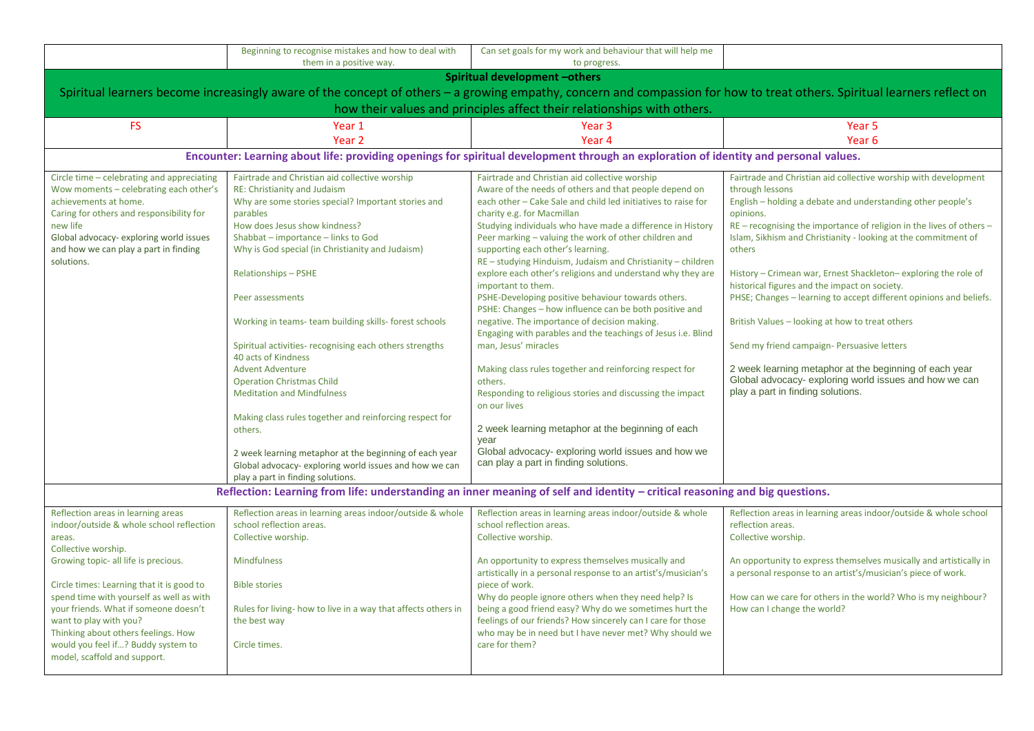|                                                                                                                             | Beginning to recognise mistakes and how to deal with          | Can set goals for my work and behaviour that will help me                                                                            |                                                                                                                                                                          |  |
|-----------------------------------------------------------------------------------------------------------------------------|---------------------------------------------------------------|--------------------------------------------------------------------------------------------------------------------------------------|--------------------------------------------------------------------------------------------------------------------------------------------------------------------------|--|
|                                                                                                                             | them in a positive way.                                       | to progress.                                                                                                                         |                                                                                                                                                                          |  |
|                                                                                                                             |                                                               | Spiritual development -others                                                                                                        |                                                                                                                                                                          |  |
|                                                                                                                             |                                                               |                                                                                                                                      | Spiritual learners become increasingly aware of the concept of others - a growing empathy, concern and compassion for how to treat others. Spiritual learners reflect on |  |
|                                                                                                                             |                                                               | how their values and principles affect their relationships with others.                                                              |                                                                                                                                                                          |  |
| <b>FS</b>                                                                                                                   | Year 1                                                        | Year 3                                                                                                                               | Year 5                                                                                                                                                                   |  |
|                                                                                                                             | Year <sub>2</sub>                                             | Year <sub>4</sub>                                                                                                                    | Year <sub>6</sub>                                                                                                                                                        |  |
|                                                                                                                             |                                                               | Encounter: Learning about life: providing openings for spiritual development through an exploration of identity and personal values. |                                                                                                                                                                          |  |
| Circle time - celebrating and appreciating                                                                                  | Fairtrade and Christian aid collective worship                | Fairtrade and Christian aid collective worship                                                                                       | Fairtrade and Christian aid collective worship with development                                                                                                          |  |
| Wow moments - celebrating each other's                                                                                      | RE: Christianity and Judaism                                  | Aware of the needs of others and that people depend on                                                                               | through lessons                                                                                                                                                          |  |
| achievements at home.                                                                                                       | Why are some stories special? Important stories and           | each other - Cake Sale and child led initiatives to raise for                                                                        | English – holding a debate and understanding other people's                                                                                                              |  |
| Caring for others and responsibility for                                                                                    | parables                                                      | charity e.g. for Macmillan                                                                                                           | opinions.                                                                                                                                                                |  |
| new life                                                                                                                    | How does Jesus show kindness?                                 | Studying individuals who have made a difference in History                                                                           | RE - recognising the importance of religion in the lives of others -                                                                                                     |  |
| Global advocacy- exploring world issues                                                                                     | Shabbat - importance - links to God                           | Peer marking - valuing the work of other children and                                                                                | Islam, Sikhism and Christianity - looking at the commitment of                                                                                                           |  |
| and how we can play a part in finding                                                                                       | Why is God special (in Christianity and Judaism)              | supporting each other's learning.                                                                                                    | others                                                                                                                                                                   |  |
| solutions.                                                                                                                  |                                                               | RE - studying Hinduism, Judaism and Christianity - children                                                                          |                                                                                                                                                                          |  |
|                                                                                                                             | <b>Relationships-PSHE</b>                                     | explore each other's religions and understand why they are                                                                           | History - Crimean war, Ernest Shackleton-exploring the role of                                                                                                           |  |
|                                                                                                                             |                                                               | important to them.                                                                                                                   | historical figures and the impact on society.                                                                                                                            |  |
|                                                                                                                             | Peer assessments                                              | PSHE-Developing positive behaviour towards others.                                                                                   | PHSE; Changes - learning to accept different opinions and beliefs.                                                                                                       |  |
|                                                                                                                             |                                                               | PSHE: Changes - how influence can be both positive and                                                                               |                                                                                                                                                                          |  |
|                                                                                                                             | Working in teams- team building skills- forest schools        | negative. The importance of decision making.                                                                                         | British Values - looking at how to treat others                                                                                                                          |  |
|                                                                                                                             |                                                               | Engaging with parables and the teachings of Jesus i.e. Blind                                                                         |                                                                                                                                                                          |  |
|                                                                                                                             | Spiritual activities- recognising each others strengths       | man, Jesus' miracles                                                                                                                 | Send my friend campaign- Persuasive letters                                                                                                                              |  |
|                                                                                                                             | 40 acts of Kindness                                           |                                                                                                                                      |                                                                                                                                                                          |  |
|                                                                                                                             | <b>Advent Adventure</b>                                       | Making class rules together and reinforcing respect for                                                                              | 2 week learning metaphor at the beginning of each year                                                                                                                   |  |
|                                                                                                                             | <b>Operation Christmas Child</b>                              | others.                                                                                                                              | Global advocacy- exploring world issues and how we can<br>play a part in finding solutions.                                                                              |  |
|                                                                                                                             | <b>Meditation and Mindfulness</b>                             | Responding to religious stories and discussing the impact<br>on our lives                                                            |                                                                                                                                                                          |  |
|                                                                                                                             | Making class rules together and reinforcing respect for       |                                                                                                                                      |                                                                                                                                                                          |  |
|                                                                                                                             | others.                                                       | 2 week learning metaphor at the beginning of each                                                                                    |                                                                                                                                                                          |  |
|                                                                                                                             |                                                               | year                                                                                                                                 |                                                                                                                                                                          |  |
|                                                                                                                             | 2 week learning metaphor at the beginning of each year        | Global advocacy- exploring world issues and how we                                                                                   |                                                                                                                                                                          |  |
|                                                                                                                             | Global advocacy- exploring world issues and how we can        | can play a part in finding solutions.                                                                                                |                                                                                                                                                                          |  |
|                                                                                                                             | play a part in finding solutions.                             |                                                                                                                                      |                                                                                                                                                                          |  |
| Reflection: Learning from life: understanding an inner meaning of self and identity - critical reasoning and big questions. |                                                               |                                                                                                                                      |                                                                                                                                                                          |  |
| Reflection areas in learning areas                                                                                          | Reflection areas in learning areas indoor/outside & whole     | Reflection areas in learning areas indoor/outside & whole                                                                            | Reflection areas in learning areas indoor/outside & whole school                                                                                                         |  |
| indoor/outside & whole school reflection                                                                                    | school reflection areas.                                      | school reflection areas.                                                                                                             | reflection areas.                                                                                                                                                        |  |
| areas.                                                                                                                      | Collective worship.                                           | Collective worship.                                                                                                                  | Collective worship.                                                                                                                                                      |  |
| Collective worship.                                                                                                         |                                                               |                                                                                                                                      |                                                                                                                                                                          |  |
| Growing topic- all life is precious.                                                                                        | <b>Mindfulness</b>                                            | An opportunity to express themselves musically and                                                                                   | An opportunity to express themselves musically and artistically in                                                                                                       |  |
|                                                                                                                             |                                                               | artistically in a personal response to an artist's/musician's                                                                        | a personal response to an artist's/musician's piece of work.                                                                                                             |  |
| Circle times: Learning that it is good to                                                                                   | <b>Bible stories</b>                                          | piece of work.                                                                                                                       |                                                                                                                                                                          |  |
| spend time with yourself as well as with                                                                                    |                                                               | Why do people ignore others when they need help? Is                                                                                  | How can we care for others in the world? Who is my neighbour?                                                                                                            |  |
| your friends. What if someone doesn't                                                                                       | Rules for living- how to live in a way that affects others in | being a good friend easy? Why do we sometimes hurt the                                                                               | How can I change the world?                                                                                                                                              |  |
| want to play with you?                                                                                                      | the best way                                                  | feelings of our friends? How sincerely can I care for those                                                                          |                                                                                                                                                                          |  |
| Thinking about others feelings. How                                                                                         |                                                               | who may be in need but I have never met? Why should we                                                                               |                                                                                                                                                                          |  |
| would you feel if? Buddy system to                                                                                          | Circle times.                                                 | care for them?                                                                                                                       |                                                                                                                                                                          |  |
| model, scaffold and support.                                                                                                |                                                               |                                                                                                                                      |                                                                                                                                                                          |  |
|                                                                                                                             |                                                               |                                                                                                                                      |                                                                                                                                                                          |  |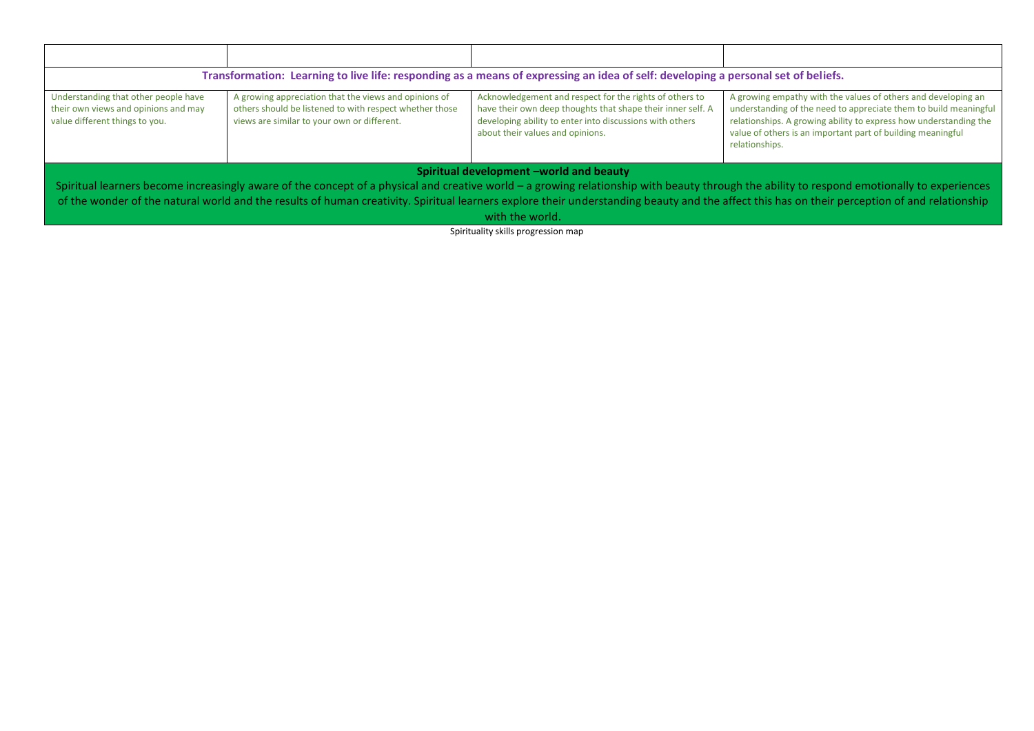| Transformation: Learning to live life: responding as a means of expressing an idea of self: developing a personal set of beliefs.                                                                                                                                                                                                                                                                                                                          |                                                                                                                                                                 |                                                                                                                                                                                                                        |                                                                                                                                                                                                                                                                                         |
|------------------------------------------------------------------------------------------------------------------------------------------------------------------------------------------------------------------------------------------------------------------------------------------------------------------------------------------------------------------------------------------------------------------------------------------------------------|-----------------------------------------------------------------------------------------------------------------------------------------------------------------|------------------------------------------------------------------------------------------------------------------------------------------------------------------------------------------------------------------------|-----------------------------------------------------------------------------------------------------------------------------------------------------------------------------------------------------------------------------------------------------------------------------------------|
| Understanding that other people have<br>their own views and opinions and may<br>value different things to you.                                                                                                                                                                                                                                                                                                                                             | A growing appreciation that the views and opinions of<br>others should be listened to with respect whether those<br>views are similar to your own or different. | Acknowledgement and respect for the rights of others to<br>have their own deep thoughts that shape their inner self. A<br>developing ability to enter into discussions with others<br>about their values and opinions. | A growing empathy with the values of others and developing an<br>understanding of the need to appreciate them to build meaningful<br>relationships. A growing ability to express how understanding the<br>value of others is an important part of building meaningful<br>relationships. |
| Spiritual development -world and beauty<br>Spiritual learners become increasingly aware of the concept of a physical and creative world – a growing relationship with beauty through the ability to respond emotionally to experiences<br>of the wonder of the natural world and the results of human creativity. Spiritual learners explore their understanding beauty and the affect this has on their perception of and relationship<br>with the world. |                                                                                                                                                                 |                                                                                                                                                                                                                        |                                                                                                                                                                                                                                                                                         |

Spirituality skills progression map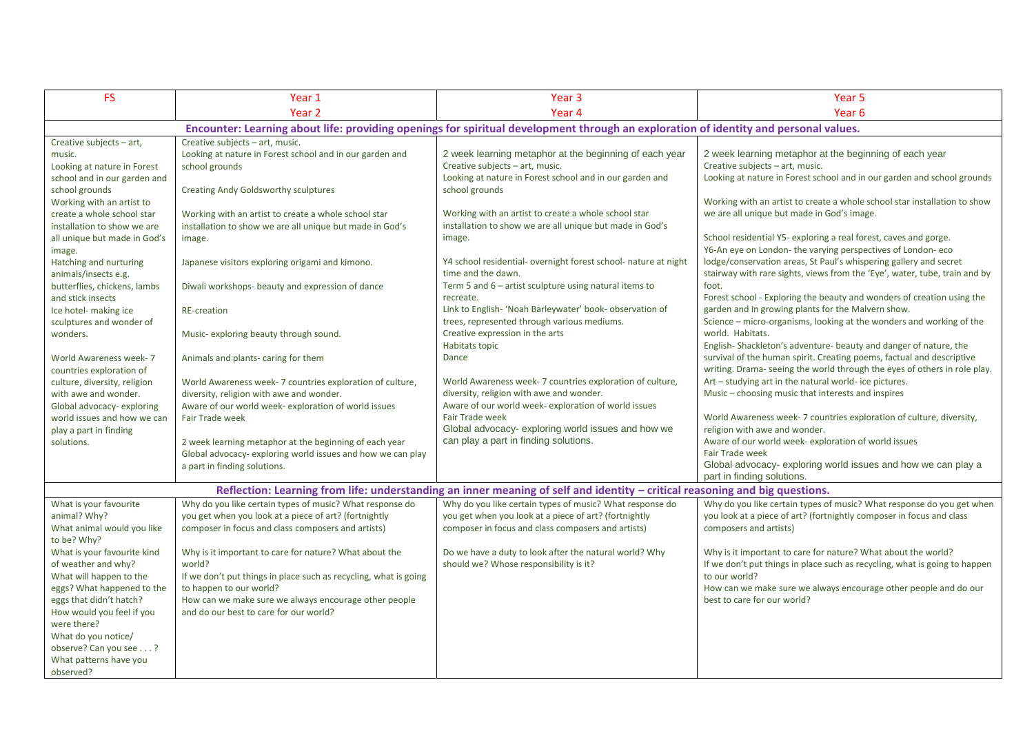| <b>FS</b>                                                                                                                                                                                                                                                                                                                                                                                                                                                                                                                                                                                                  | Year 1                                                                                                                                                                                                                                                                                                                                                                                                                                                                                                                                                                                                                                                                        | Year <sub>3</sub>                                                                                                                                                                                                                                                                                                                                                                                                                                                                                                                                                                                                                                                                                                                                                                                                                                                                                | Year <sub>5</sub>                                                                                                                                                                                                                                                                                                                                                                                                                                                                                                                                                                                                                                                                                                                                                                                                                                                                                                                                                                                                                                                                                                                                                                                                                                                             |
|------------------------------------------------------------------------------------------------------------------------------------------------------------------------------------------------------------------------------------------------------------------------------------------------------------------------------------------------------------------------------------------------------------------------------------------------------------------------------------------------------------------------------------------------------------------------------------------------------------|-------------------------------------------------------------------------------------------------------------------------------------------------------------------------------------------------------------------------------------------------------------------------------------------------------------------------------------------------------------------------------------------------------------------------------------------------------------------------------------------------------------------------------------------------------------------------------------------------------------------------------------------------------------------------------|--------------------------------------------------------------------------------------------------------------------------------------------------------------------------------------------------------------------------------------------------------------------------------------------------------------------------------------------------------------------------------------------------------------------------------------------------------------------------------------------------------------------------------------------------------------------------------------------------------------------------------------------------------------------------------------------------------------------------------------------------------------------------------------------------------------------------------------------------------------------------------------------------|-------------------------------------------------------------------------------------------------------------------------------------------------------------------------------------------------------------------------------------------------------------------------------------------------------------------------------------------------------------------------------------------------------------------------------------------------------------------------------------------------------------------------------------------------------------------------------------------------------------------------------------------------------------------------------------------------------------------------------------------------------------------------------------------------------------------------------------------------------------------------------------------------------------------------------------------------------------------------------------------------------------------------------------------------------------------------------------------------------------------------------------------------------------------------------------------------------------------------------------------------------------------------------|
|                                                                                                                                                                                                                                                                                                                                                                                                                                                                                                                                                                                                            | Year <sub>2</sub>                                                                                                                                                                                                                                                                                                                                                                                                                                                                                                                                                                                                                                                             | Year <sub>4</sub>                                                                                                                                                                                                                                                                                                                                                                                                                                                                                                                                                                                                                                                                                                                                                                                                                                                                                | Year 6                                                                                                                                                                                                                                                                                                                                                                                                                                                                                                                                                                                                                                                                                                                                                                                                                                                                                                                                                                                                                                                                                                                                                                                                                                                                        |
|                                                                                                                                                                                                                                                                                                                                                                                                                                                                                                                                                                                                            |                                                                                                                                                                                                                                                                                                                                                                                                                                                                                                                                                                                                                                                                               | Encounter: Learning about life: providing openings for spiritual development through an exploration of identity and personal values.                                                                                                                                                                                                                                                                                                                                                                                                                                                                                                                                                                                                                                                                                                                                                             |                                                                                                                                                                                                                                                                                                                                                                                                                                                                                                                                                                                                                                                                                                                                                                                                                                                                                                                                                                                                                                                                                                                                                                                                                                                                               |
| Creative subjects - art,<br>music.<br>Looking at nature in Forest<br>school and in our garden and<br>school grounds<br>Working with an artist to<br>create a whole school star<br>installation to show we are<br>all unique but made in God's<br>image.<br>Hatching and nurturing<br>animals/insects e.g.<br>butterflies, chickens, lambs<br>and stick insects<br>Ice hotel- making ice<br>sculptures and wonder of<br>wonders.<br>World Awareness week- 7<br>countries exploration of<br>culture, diversity, religion<br>with awe and wonder.<br>Global advocacy-exploring<br>world issues and how we can | Creative subjects - art, music.<br>Looking at nature in Forest school and in our garden and<br>school grounds<br>Creating Andy Goldsworthy sculptures<br>Working with an artist to create a whole school star<br>installation to show we are all unique but made in God's<br>image.<br>Japanese visitors exploring origami and kimono.<br>Diwali workshops- beauty and expression of dance<br>RE-creation<br>Music-exploring beauty through sound.<br>Animals and plants- caring for them<br>World Awareness week- 7 countries exploration of culture,<br>diversity, religion with awe and wonder.<br>Aware of our world week- exploration of world issues<br>Fair Trade week | 2 week learning metaphor at the beginning of each year<br>Creative subjects - art, music.<br>Looking at nature in Forest school and in our garden and<br>school grounds<br>Working with an artist to create a whole school star<br>installation to show we are all unique but made in God's<br>image.<br>Y4 school residential- overnight forest school- nature at night<br>time and the dawn.<br>Term 5 and $6$ – artist sculpture using natural items to<br>recreate.<br>Link to English- 'Noah Barleywater' book- observation of<br>trees, represented through various mediums.<br>Creative expression in the arts<br>Habitats topic<br>Dance<br>World Awareness week-7 countries exploration of culture,<br>diversity, religion with awe and wonder.<br>Aware of our world week- exploration of world issues<br><b>Fair Trade week</b><br>Global advocacy- exploring world issues and how we | 2 week learning metaphor at the beginning of each year<br>Creative subjects - art, music.<br>Looking at nature in Forest school and in our garden and school grounds<br>Working with an artist to create a whole school star installation to show<br>we are all unique but made in God's image.<br>School residential Y5- exploring a real forest, caves and gorge.<br>Y6-An eye on London- the varying perspectives of London- eco<br>lodge/conservation areas, St Paul's whispering gallery and secret<br>stairway with rare sights, views from the 'Eye', water, tube, train and by<br>foot.<br>Forest school - Exploring the beauty and wonders of creation using the<br>garden and in growing plants for the Malvern show.<br>Science - micro-organisms, looking at the wonders and working of the<br>world. Habitats.<br>English-Shackleton's adventure-beauty and danger of nature, the<br>survival of the human spirit. Creating poems, factual and descriptive<br>writing. Drama- seeing the world through the eyes of others in role play.<br>Art - studying art in the natural world- ice pictures.<br>Music – choosing music that interests and inspires<br>World Awareness week- 7 countries exploration of culture, diversity,<br>religion with awe and wonder. |
| play a part in finding<br>solutions.                                                                                                                                                                                                                                                                                                                                                                                                                                                                                                                                                                       | 2 week learning metaphor at the beginning of each year<br>Global advocacy- exploring world issues and how we can play<br>a part in finding solutions.                                                                                                                                                                                                                                                                                                                                                                                                                                                                                                                         | can play a part in finding solutions.                                                                                                                                                                                                                                                                                                                                                                                                                                                                                                                                                                                                                                                                                                                                                                                                                                                            | Aware of our world week- exploration of world issues<br>Fair Trade week<br>Global advocacy-exploring world issues and how we can play a<br>part in finding solutions.                                                                                                                                                                                                                                                                                                                                                                                                                                                                                                                                                                                                                                                                                                                                                                                                                                                                                                                                                                                                                                                                                                         |
|                                                                                                                                                                                                                                                                                                                                                                                                                                                                                                                                                                                                            |                                                                                                                                                                                                                                                                                                                                                                                                                                                                                                                                                                                                                                                                               | Reflection: Learning from life: understanding an inner meaning of self and identity - critical reasoning and big questions.                                                                                                                                                                                                                                                                                                                                                                                                                                                                                                                                                                                                                                                                                                                                                                      |                                                                                                                                                                                                                                                                                                                                                                                                                                                                                                                                                                                                                                                                                                                                                                                                                                                                                                                                                                                                                                                                                                                                                                                                                                                                               |
| What is your favourite<br>animal? Why?<br>What animal would you like<br>to be? Why?                                                                                                                                                                                                                                                                                                                                                                                                                                                                                                                        | Why do you like certain types of music? What response do<br>you get when you look at a piece of art? (fortnightly<br>composer in focus and class composers and artists)                                                                                                                                                                                                                                                                                                                                                                                                                                                                                                       | Why do you like certain types of music? What response do<br>you get when you look at a piece of art? (fortnightly<br>composer in focus and class composers and artists)                                                                                                                                                                                                                                                                                                                                                                                                                                                                                                                                                                                                                                                                                                                          | Why do you like certain types of music? What response do you get when<br>you look at a piece of art? (fortnightly composer in focus and class<br>composers and artists)                                                                                                                                                                                                                                                                                                                                                                                                                                                                                                                                                                                                                                                                                                                                                                                                                                                                                                                                                                                                                                                                                                       |
| What is your favourite kind<br>of weather and why?<br>What will happen to the<br>eggs? What happened to the<br>eggs that didn't hatch?<br>How would you feel if you<br>were there?<br>What do you notice/<br>observe? Can you see ?<br>What patterns have you<br>observed?                                                                                                                                                                                                                                                                                                                                 | Why is it important to care for nature? What about the<br>world?<br>If we don't put things in place such as recycling, what is going<br>to happen to our world?<br>How can we make sure we always encourage other people<br>and do our best to care for our world?                                                                                                                                                                                                                                                                                                                                                                                                            | Do we have a duty to look after the natural world? Why<br>should we? Whose responsibility is it?                                                                                                                                                                                                                                                                                                                                                                                                                                                                                                                                                                                                                                                                                                                                                                                                 | Why is it important to care for nature? What about the world?<br>If we don't put things in place such as recycling, what is going to happen<br>to our world?<br>How can we make sure we always encourage other people and do our<br>best to care for our world?                                                                                                                                                                                                                                                                                                                                                                                                                                                                                                                                                                                                                                                                                                                                                                                                                                                                                                                                                                                                               |